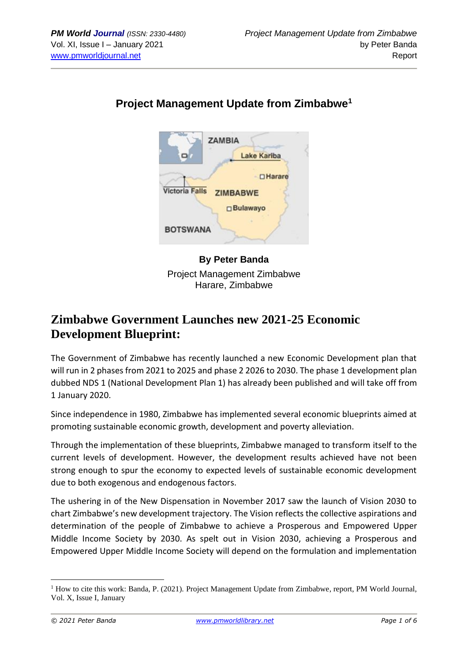

## **Project Management Update from Zimbabwe<sup>1</sup>**

**By Peter Banda** Project Management Zimbabwe Harare, Zimbabwe

# **Zimbabwe Government Launches new 2021-25 Economic Development Blueprint:**

The Government of Zimbabwe has recently launched a new Economic Development plan that will run in 2 phases from 2021 to 2025 and phase 2 2026 to 2030. The phase 1 development plan dubbed NDS 1 (National Development Plan 1) has already been published and will take off from 1 January 2020.

Since independence in 1980, Zimbabwe has implemented several economic blueprints aimed at promoting sustainable economic growth, development and poverty alleviation.

Through the implementation of these blueprints, Zimbabwe managed to transform itself to the current levels of development. However, the development results achieved have not been strong enough to spur the economy to expected levels of sustainable economic development due to both exogenous and endogenous factors.

The ushering in of the New Dispensation in November 2017 saw the launch of Vision 2030 to chart Zimbabwe's new development trajectory. The Vision reflects the collective aspirations and determination of the people of Zimbabwe to achieve a Prosperous and Empowered Upper Middle Income Society by 2030. As spelt out in Vision 2030, achieving a Prosperous and Empowered Upper Middle Income Society will depend on the formulation and implementation

<sup>1</sup> How to cite this work: Banda, P. (2021). Project Management Update from Zimbabwe, report, PM World Journal, Vol. X, Issue I, January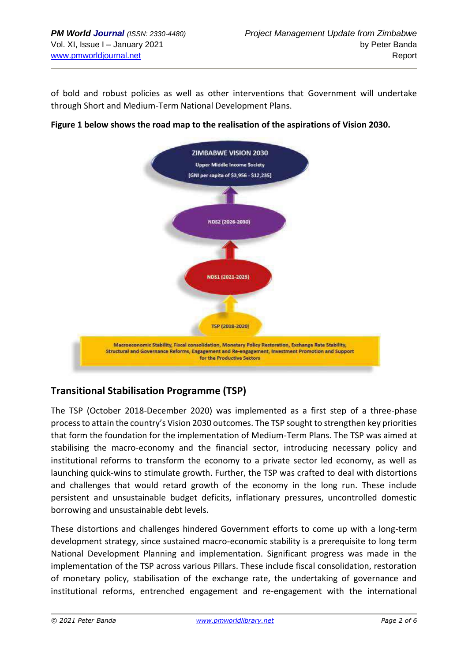of bold and robust policies as well as other interventions that Government will undertake through Short and Medium-Term National Development Plans.





#### **Transitional Stabilisation Programme (TSP)**

The TSP (October 2018-December 2020) was implemented as a first step of a three-phase process to attain the country's Vision 2030 outcomes. The TSP sought to strengthen key priorities that form the foundation for the implementation of Medium-Term Plans. The TSP was aimed at stabilising the macro-economy and the financial sector, introducing necessary policy and institutional reforms to transform the economy to a private sector led economy, as well as launching quick-wins to stimulate growth. Further, the TSP was crafted to deal with distortions and challenges that would retard growth of the economy in the long run. These include persistent and unsustainable budget deficits, inflationary pressures, uncontrolled domestic borrowing and unsustainable debt levels.

These distortions and challenges hindered Government efforts to come up with a long-term development strategy, since sustained macro-economic stability is a prerequisite to long term National Development Planning and implementation. Significant progress was made in the implementation of the TSP across various Pillars. These include fiscal consolidation, restoration of monetary policy, stabilisation of the exchange rate, the undertaking of governance and institutional reforms, entrenched engagement and re-engagement with the international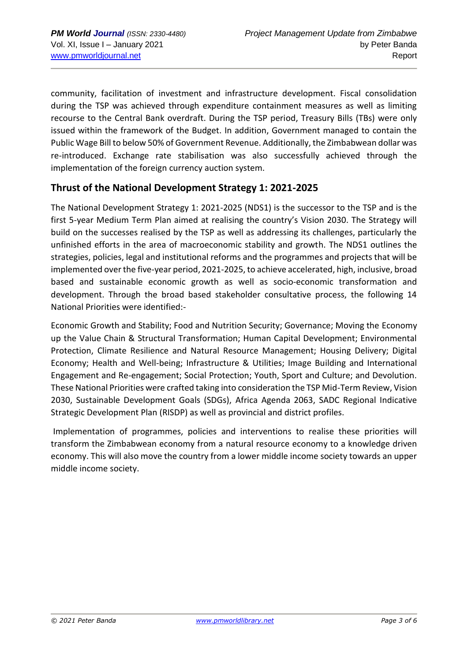community, facilitation of investment and infrastructure development. Fiscal consolidation during the TSP was achieved through expenditure containment measures as well as limiting recourse to the Central Bank overdraft. During the TSP period, Treasury Bills (TBs) were only issued within the framework of the Budget. In addition, Government managed to contain the Public Wage Bill to below 50% of Government Revenue. Additionally, the Zimbabwean dollar was re-introduced. Exchange rate stabilisation was also successfully achieved through the implementation of the foreign currency auction system.

#### **Thrust of the National Development Strategy 1: 2021-2025**

The National Development Strategy 1: 2021-2025 (NDS1) is the successor to the TSP and is the first 5-year Medium Term Plan aimed at realising the country's Vision 2030. The Strategy will build on the successes realised by the TSP as well as addressing its challenges, particularly the unfinished efforts in the area of macroeconomic stability and growth. The NDS1 outlines the strategies, policies, legal and institutional reforms and the programmes and projects that will be implemented over the five-year period, 2021-2025, to achieve accelerated, high, inclusive, broad based and sustainable economic growth as well as socio-economic transformation and development. Through the broad based stakeholder consultative process, the following 14 National Priorities were identified:-

Economic Growth and Stability; Food and Nutrition Security; Governance; Moving the Economy up the Value Chain & Structural Transformation; Human Capital Development; Environmental Protection, Climate Resilience and Natural Resource Management; Housing Delivery; Digital Economy; Health and Well-being; Infrastructure & Utilities; Image Building and International Engagement and Re-engagement; Social Protection; Youth, Sport and Culture; and Devolution. These National Priorities were crafted taking into consideration the TSP Mid-Term Review, Vision 2030, Sustainable Development Goals (SDGs), Africa Agenda 2063, SADC Regional Indicative Strategic Development Plan (RISDP) as well as provincial and district profiles.

Implementation of programmes, policies and interventions to realise these priorities will transform the Zimbabwean economy from a natural resource economy to a knowledge driven economy. This will also move the country from a lower middle income society towards an upper middle income society.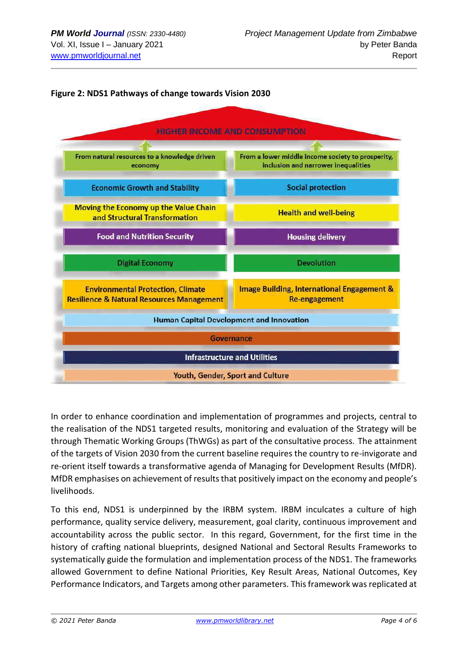



In order to enhance coordination and implementation of programmes and projects, central to the realisation of the NDS1 targeted results, monitoring and evaluation of the Strategy will be through Thematic Working Groups (ThWGs) as part of the consultative process. The attainment of the targets of Vision 2030 from the current baseline requires the country to re-invigorate and re-orient itself towards a transformative agenda of Managing for Development Results (MfDR). MfDR emphasises on achievement of results that positively impact on the economy and people's livelihoods.

To this end, NDS1 is underpinned by the IRBM system. IRBM inculcates a culture of high performance, quality service delivery, measurement, goal clarity, continuous improvement and accountability across the public sector. In this regard, Government, for the first time in the history of crafting national blueprints, designed National and Sectoral Results Frameworks to systematically guide the formulation and implementation process of the NDS1. The frameworks allowed Government to define National Priorities, Key Result Areas, National Outcomes, Key Performance Indicators, and Targets among other parameters. This framework was replicated at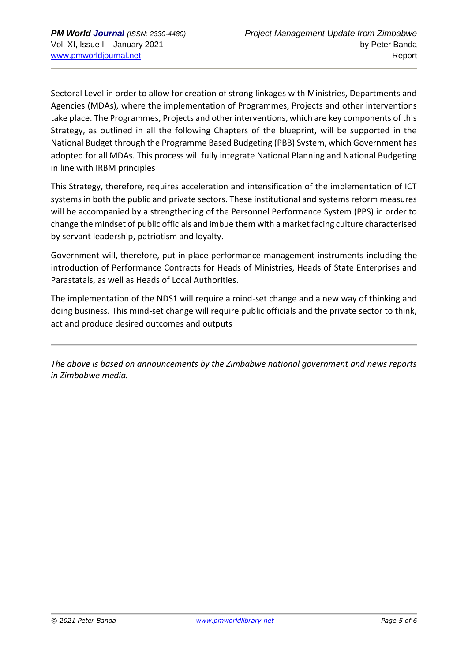Sectoral Level in order to allow for creation of strong linkages with Ministries, Departments and Agencies (MDAs), where the implementation of Programmes, Projects and other interventions take place. The Programmes, Projects and other interventions, which are key components of this Strategy, as outlined in all the following Chapters of the blueprint, will be supported in the National Budget through the Programme Based Budgeting (PBB) System, which Government has adopted for all MDAs. This process will fully integrate National Planning and National Budgeting in line with IRBM principles

This Strategy, therefore, requires acceleration and intensification of the implementation of ICT systems in both the public and private sectors. These institutional and systems reform measures will be accompanied by a strengthening of the Personnel Performance System (PPS) in order to change the mindset of public officials and imbue them with a market facing culture characterised by servant leadership, patriotism and loyalty.

Government will, therefore, put in place performance management instruments including the introduction of Performance Contracts for Heads of Ministries, Heads of State Enterprises and Parastatals, as well as Heads of Local Authorities.

The implementation of the NDS1 will require a mind-set change and a new way of thinking and doing business. This mind-set change will require public officials and the private sector to think, act and produce desired outcomes and outputs

*The above is based on announcements by the Zimbabwe national government and news reports in Zimbabwe media.*